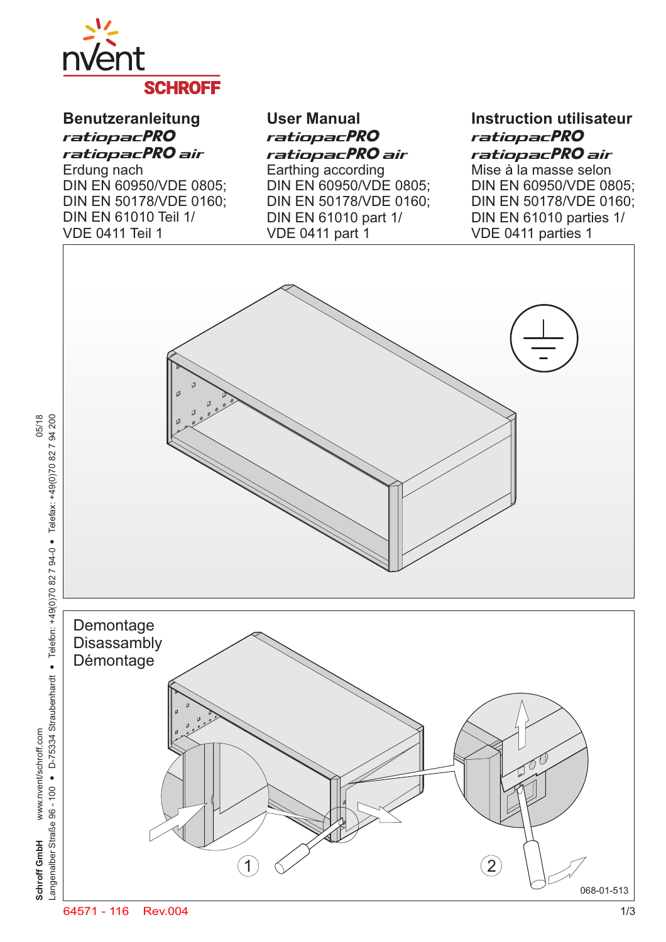

# **Benutzeranleitung** ratiopacPRO ratiopacPRO air

Erdung nach DIN EN 60950/VDE 0805; DIN EN 50178/VDE 0160; DIN EN 61010 Teil 1/ VDE 0411 Teil 1

05/18

www.nvent/schroff.com

Schroff GmbH

**User Manual** ratiopacPRO ratiopacPRO air Earthing according

DIN EN 60950/VDE 0805; DIN EN 50178/VDE 0160; DIN EN 61010 part 1/ VDE 0411 part 1

## **Instruction utilisateur** ratiopacPRO ratiopacPRO air

Mise à la masse selon DIN EN 60950/VDE 0805; DIN EN 50178/VDE 0160; DIN EN 61010 parties 1/ VDE 0411 parties 1

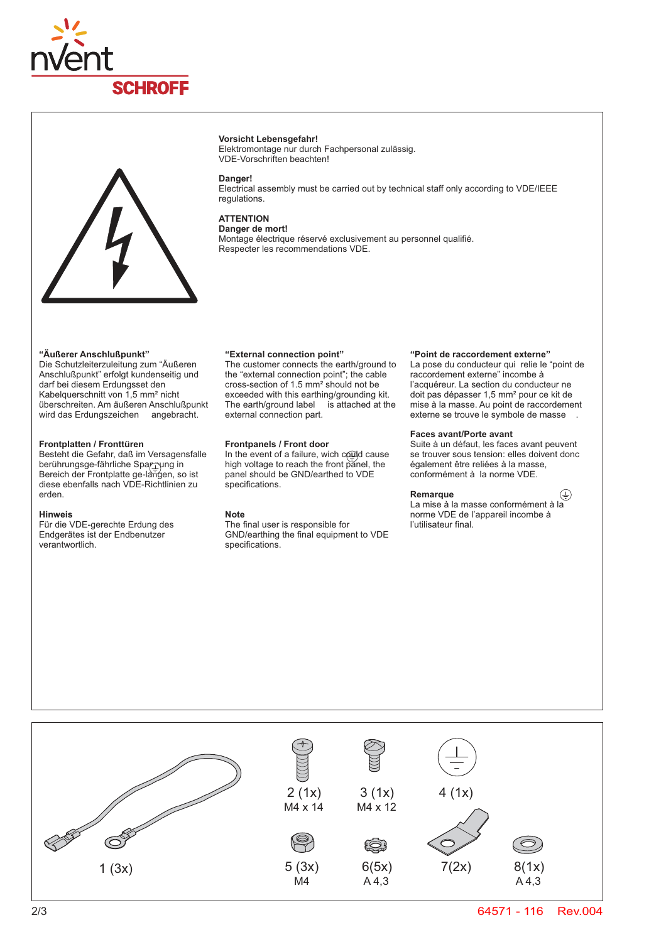



## **Vorsicht Lebensgefahr!**

Elektromontage nur durch Fachpersonal zulässig. VDE-Vorschriften beachten!

#### **Danger!**

Electrical assembly must be carried out by technical staff only according to VDE/IEEE regulations.

## **ATTENTION Danger de mort!**

Montage électrique réservé exclusivement au personnel qualifié. Respecter les recommendations VDE.

## **"Äußerer Anschlußpunkt"**

Die Schutzleiterzuleitung zum "Äußeren Anschlußpunkt" erfolgt kundenseitig und darf bei diesem Erdungsset den Kabelquerschnitt von 1,5 mm<sup>2</sup> nicht überschreiten. Am äußeren Anschlußpunkt wird das Erdungszeichen angebracht.

## **Frontplatten / Fronttüren**

Besteht die Gefahr, daß im Versagensfalle berührungsge-fährliche Spar $\footnotesize \rm \tau$ yng in Bereich der Frontplatte ge-langen, so ist diese ebenfalls nach VDE-Richtlinien zu erden.

## **Hinweis**

Für die VDE-gerechte Erdung des Endgerätes ist der Endbenutzer verantwortlich.

## **"External connection point"**

The customer connects the earth/ground to the "external connection point"; the cable cross-section of 1.5 mm² should not be exceeded with this earthing/grounding kit. The earth/ground label is attached at the external connection part.

## **Frontpanels / Front door**

In the event of a failure, wich could cause high voltage to reach the front panel, the panel should be GND/earthed to VDE specifications.

## **Note**

The final user is responsible for GND/earthing the final equipment to VDE specifications.

## **"Point de raccordement externe"**

La pose du conducteur qui relie le "point de raccordement externe" incombe à l'acquéreur. La section du conducteur ne doit pas dépasser 1,5 mm² pour ce kit de mise à la masse. Au point de raccordement externe se trouve le symbole de masse

## **Faces avant/Porte avant**

Suite à un défaut, les faces avant peuvent se trouver sous tension: elles doivent donc également être reliées à la masse, conformément à la norme VDE.

## **Remarque**

La mise à la masse conformément à la norme VDE de l'appareil incombe à l'utilisateur final.